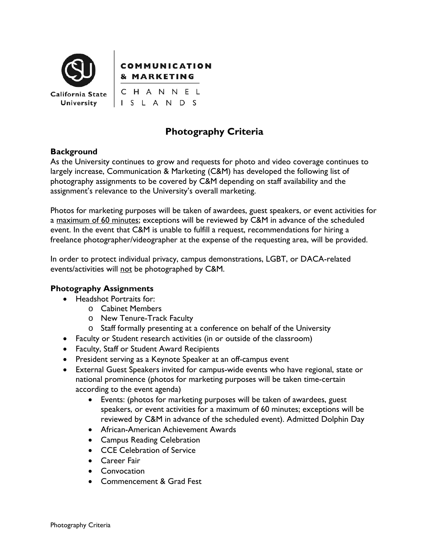

## **COMMUNICATION & MARKETING**

CHANNEL ISLANDS

# **Photography Criteria**

### **Background**

As the University continues to grow and requests for photo and video coverage continues to largely increase, Communication & Marketing (C&M) has developed the following list of photography assignments to be covered by C&M depending on staff availability and the assignment's relevance to the University's overall marketing.

Photos for marketing purposes will be taken of awardees, guest speakers, or event activities for a maximum of 60 minutes; exceptions will be reviewed by C&M in advance of the scheduled event. In the event that C&M is unable to fulfill a request, recommendations for hiring a freelance photographer/videographer at the expense of the requesting area, will be provided.

In order to protect individual privacy, campus demonstrations, LGBT, or DACA-related events/activities will not be photographed by C&M.

### **Photography Assignments**

- Headshot Portraits for:
	- o Cabinet Members
	- o New Tenure-Track Faculty
	- o Staff formally presenting at a conference on behalf of the University
- Faculty or Student research activities (in or outside of the classroom)
- Faculty, Staff or Student Award Recipients
- President serving as a Keynote Speaker at an off-campus event
- External Guest Speakers invited for campus-wide events who have regional, state or national prominence (photos for marketing purposes will be taken time-certain according to the event agenda)
	- Events: (photos for marketing purposes will be taken of awardees, guest speakers, or event activities for a maximum of 60 minutes; exceptions will be reviewed by C&M in advance of the scheduled event). Admitted Dolphin Day
	- African-American Achievement Awards
	- Campus Reading Celebration
	- CCE Celebration of Service
	- Career Fair
	- Convocation
	- Commencement & Grad Fest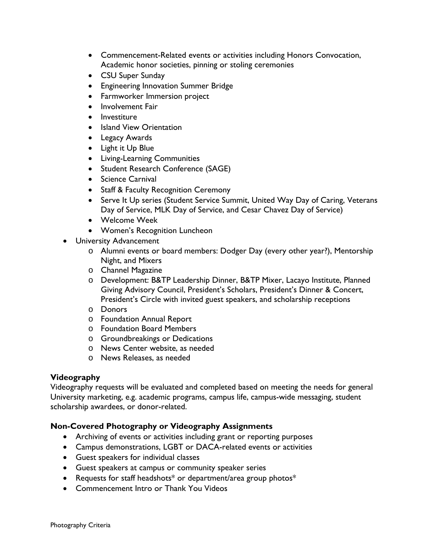- Commencement-Related events or activities including Honors Convocation, Academic honor societies, pinning or stoling ceremonies
- CSU Super Sunday
- Engineering Innovation Summer Bridge
- Farmworker Immersion project
- Involvement Fair
- Investiture
- Island View Orientation
- Legacy Awards
- Light it Up Blue
- Living-Learning Communities
- Student Research Conference (SAGE)
- Science Carnival
- Staff & Faculty Recognition Ceremony
- Serve It Up series (Student Service Summit, United Way Day of Caring, Veterans Day of Service, MLK Day of Service, and Cesar Chavez Day of Service)
- Welcome Week
- Women's Recognition Luncheon
- University Advancement
	- o Alumni events or board members: Dodger Day (every other year?), Mentorship Night, and Mixers
	- o Channel Magazine
	- o Development: B&TP Leadership Dinner, B&TP Mixer, Lacayo Institute, Planned Giving Advisory Council, President's Scholars, President's Dinner & Concert, President's Circle with invited guest speakers, and scholarship receptions
	- o Donors
	- o Foundation Annual Report
	- o Foundation Board Members
	- o Groundbreakings or Dedications
	- o News Center website, as needed
	- o News Releases, as needed

#### **Videography**

Videography requests will be evaluated and completed based on meeting the needs for general University marketing, e.g. academic programs, campus life, campus-wide messaging, student scholarship awardees, or donor-related.

### **Non-Covered Photography or Videography Assignments**

- Archiving of events or activities including grant or reporting purposes
- Campus demonstrations, LGBT or DACA-related events or activities
- Guest speakers for individual classes
- Guest speakers at campus or community speaker series
- Requests for staff headshots\* or department/area group photos\*
- Commencement Intro or Thank You Videos